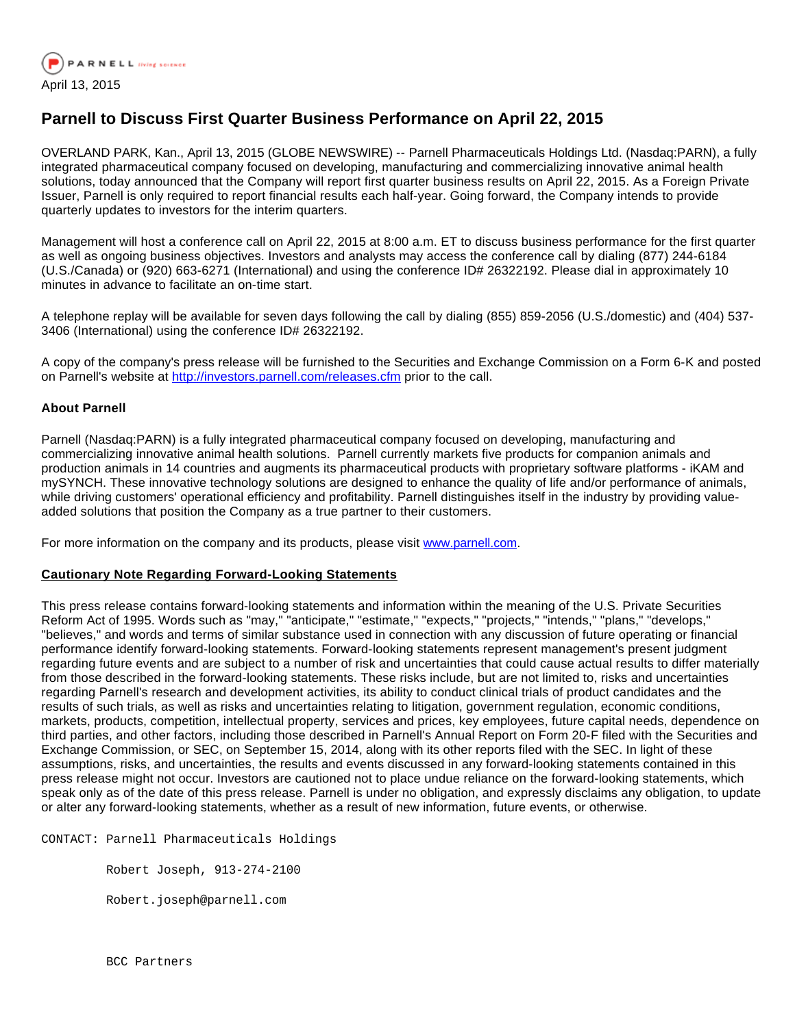

## **Parnell to Discuss First Quarter Business Performance on April 22, 2015**

OVERLAND PARK, Kan., April 13, 2015 (GLOBE NEWSWIRE) -- Parnell Pharmaceuticals Holdings Ltd. (Nasdaq:PARN), a fully integrated pharmaceutical company focused on developing, manufacturing and commercializing innovative animal health solutions, today announced that the Company will report first quarter business results on April 22, 2015. As a Foreign Private Issuer, Parnell is only required to report financial results each half-year. Going forward, the Company intends to provide quarterly updates to investors for the interim quarters.

Management will host a conference call on April 22, 2015 at 8:00 a.m. ET to discuss business performance for the first quarter as well as ongoing business objectives. Investors and analysts may access the conference call by dialing (877) 244-6184 (U.S./Canada) or (920) 663-6271 (International) and using the conference ID# 26322192. Please dial in approximately 10 minutes in advance to facilitate an on-time start.

A telephone replay will be available for seven days following the call by dialing (855) 859-2056 (U.S./domestic) and (404) 537- 3406 (International) using the conference ID# 26322192.

A copy of the company's press release will be furnished to the Securities and Exchange Commission on a Form 6-K and posted on Parnell's website at [http://investors.parnell.com/releases.cfm](http://www.globenewswire.com/newsroom/ctr?d=10128699&l=4&u=http%3A%2F%2Finvestors.parnell.com%2Freleases.cfm) prior to the call.

## **About Parnell**

Parnell (Nasdaq:PARN) is a fully integrated pharmaceutical company focused on developing, manufacturing and commercializing innovative animal health solutions. Parnell currently markets five products for companion animals and production animals in 14 countries and augments its pharmaceutical products with proprietary software platforms - iKAM and mySYNCH. These innovative technology solutions are designed to enhance the quality of life and/or performance of animals, while driving customers' operational efficiency and profitability. Parnell distinguishes itself in the industry by providing valueadded solutions that position the Company as a true partner to their customers.

For more information on the company and its products, please visit [www.parnell.com](http://www.globenewswire.com/newsroom/ctr?d=10128699&l=7&a=www.parnell.com&u=http%3A%2F%2Fwww.parnell.com%2F).

## **Cautionary Note Regarding Forward-Looking Statements**

This press release contains forward-looking statements and information within the meaning of the U.S. Private Securities Reform Act of 1995. Words such as "may," "anticipate," "estimate," "expects," "projects," "intends," "plans," "develops," "believes," and words and terms of similar substance used in connection with any discussion of future operating or financial performance identify forward-looking statements. Forward-looking statements represent management's present judgment regarding future events and are subject to a number of risk and uncertainties that could cause actual results to differ materially from those described in the forward-looking statements. These risks include, but are not limited to, risks and uncertainties regarding Parnell's research and development activities, its ability to conduct clinical trials of product candidates and the results of such trials, as well as risks and uncertainties relating to litigation, government regulation, economic conditions, markets, products, competition, intellectual property, services and prices, key employees, future capital needs, dependence on third parties, and other factors, including those described in Parnell's Annual Report on Form 20-F filed with the Securities and Exchange Commission, or SEC, on September 15, 2014, along with its other reports filed with the SEC. In light of these assumptions, risks, and uncertainties, the results and events discussed in any forward-looking statements contained in this press release might not occur. Investors are cautioned not to place undue reliance on the forward-looking statements, which speak only as of the date of this press release. Parnell is under no obligation, and expressly disclaims any obligation, to update or alter any forward-looking statements, whether as a result of new information, future events, or otherwise.

CONTACT: Parnell Pharmaceuticals Holdings

Robert Joseph, 913-274-2100

Robert.joseph@parnell.com